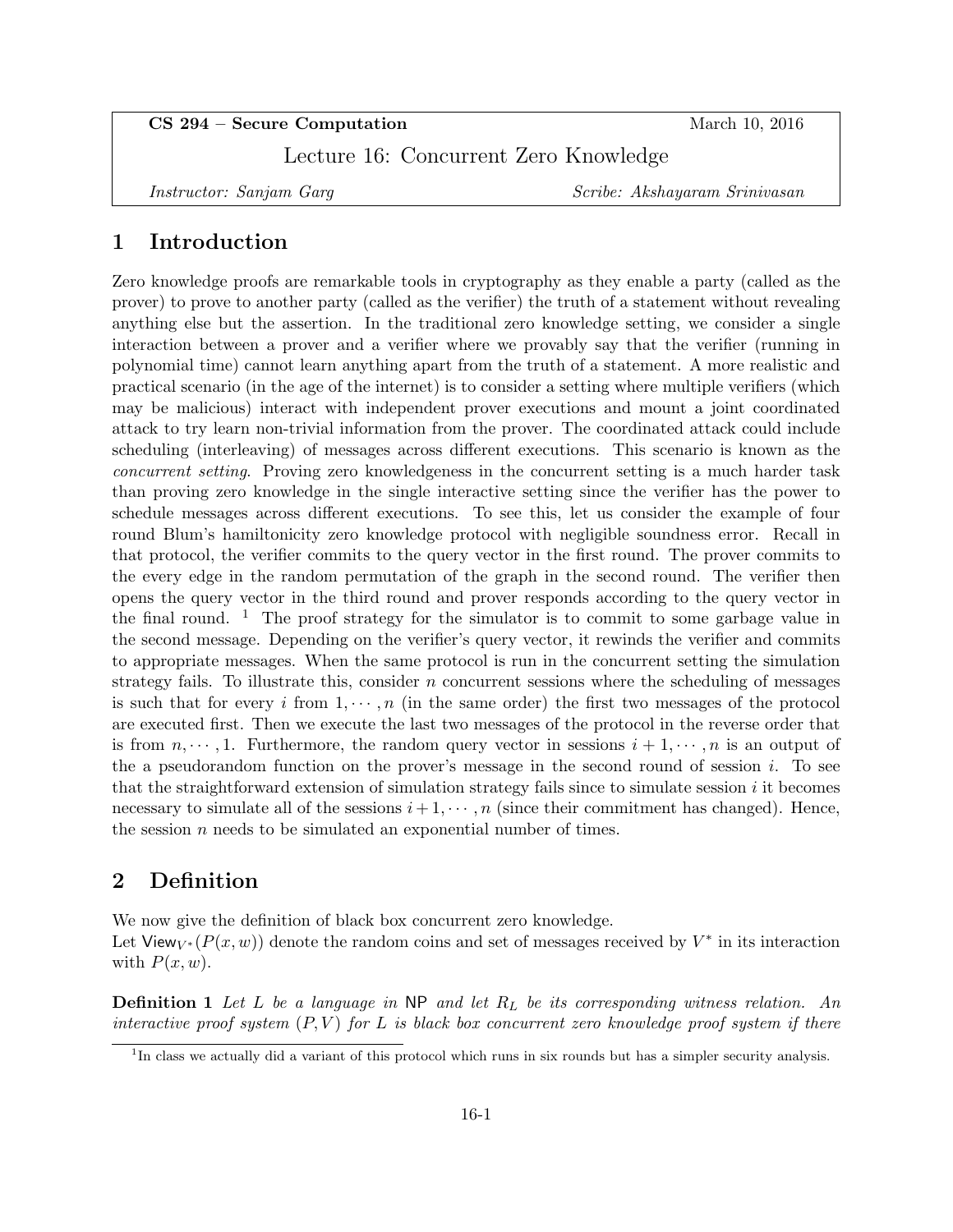CS 294 – Secure Computation March 10, 2016

Lecture 16: Concurrent Zero Knowledge

Instructor: Sanjam Garg Scribe: Akshayaram Srinivasan

## 1 Introduction

Zero knowledge proofs are remarkable tools in cryptography as they enable a party (called as the prover) to prove to another party (called as the verifier) the truth of a statement without revealing anything else but the assertion. In the traditional zero knowledge setting, we consider a single interaction between a prover and a verifier where we provably say that the verifier (running in polynomial time) cannot learn anything apart from the truth of a statement. A more realistic and practical scenario (in the age of the internet) is to consider a setting where multiple verifiers (which may be malicious) interact with independent prover executions and mount a joint coordinated attack to try learn non-trivial information from the prover. The coordinated attack could include scheduling (interleaving) of messages across different executions. This scenario is known as the concurrent setting. Proving zero knowledgeness in the concurrent setting is a much harder task than proving zero knowledge in the single interactive setting since the verifier has the power to schedule messages across different executions. To see this, let us consider the example of four round Blum's hamiltonicity zero knowledge protocol with negligible soundness error. Recall in that protocol, the verifier commits to the query vector in the first round. The prover commits to the every edge in the random permutation of the graph in the second round. The verifier then opens the query vector in the third round and prover responds according to the query vector in the final round. <sup>1</sup> The proof strategy for the simulator is to commit to some garbage value in the second message. Depending on the verifier's query vector, it rewinds the verifier and commits to appropriate messages. When the same protocol is run in the concurrent setting the simulation strategy fails. To illustrate this, consider  $n$  concurrent sessions where the scheduling of messages is such that for every i from  $1, \dots, n$  (in the same order) the first two messages of the protocol are executed first. Then we execute the last two messages of the protocol in the reverse order that is from  $n, \dots, 1$ . Furthermore, the random query vector in sessions  $i + 1, \dots, n$  is an output of the a pseudorandom function on the prover's message in the second round of session  $i$ . To see that the straightforward extension of simulation strategy fails since to simulate session  $i$  it becomes necessary to simulate all of the sessions  $i+1, \dots, n$  (since their commitment has changed). Hence, the session  $n$  needs to be simulated an exponential number of times.

## 2 Definition

We now give the definition of black box concurrent zero knowledge. Let View<sub>V</sub>\*( $P(x, w)$ ) denote the random coins and set of messages received by  $V^*$  in its interaction with  $P(x, w)$ .

**Definition 1** Let L be a language in NP and let  $R_L$  be its corresponding witness relation. An interactive proof system  $(P, V)$  for L is black box concurrent zero knowledge proof system if there

<sup>&</sup>lt;sup>1</sup>In class we actually did a variant of this protocol which runs in six rounds but has a simpler security analysis.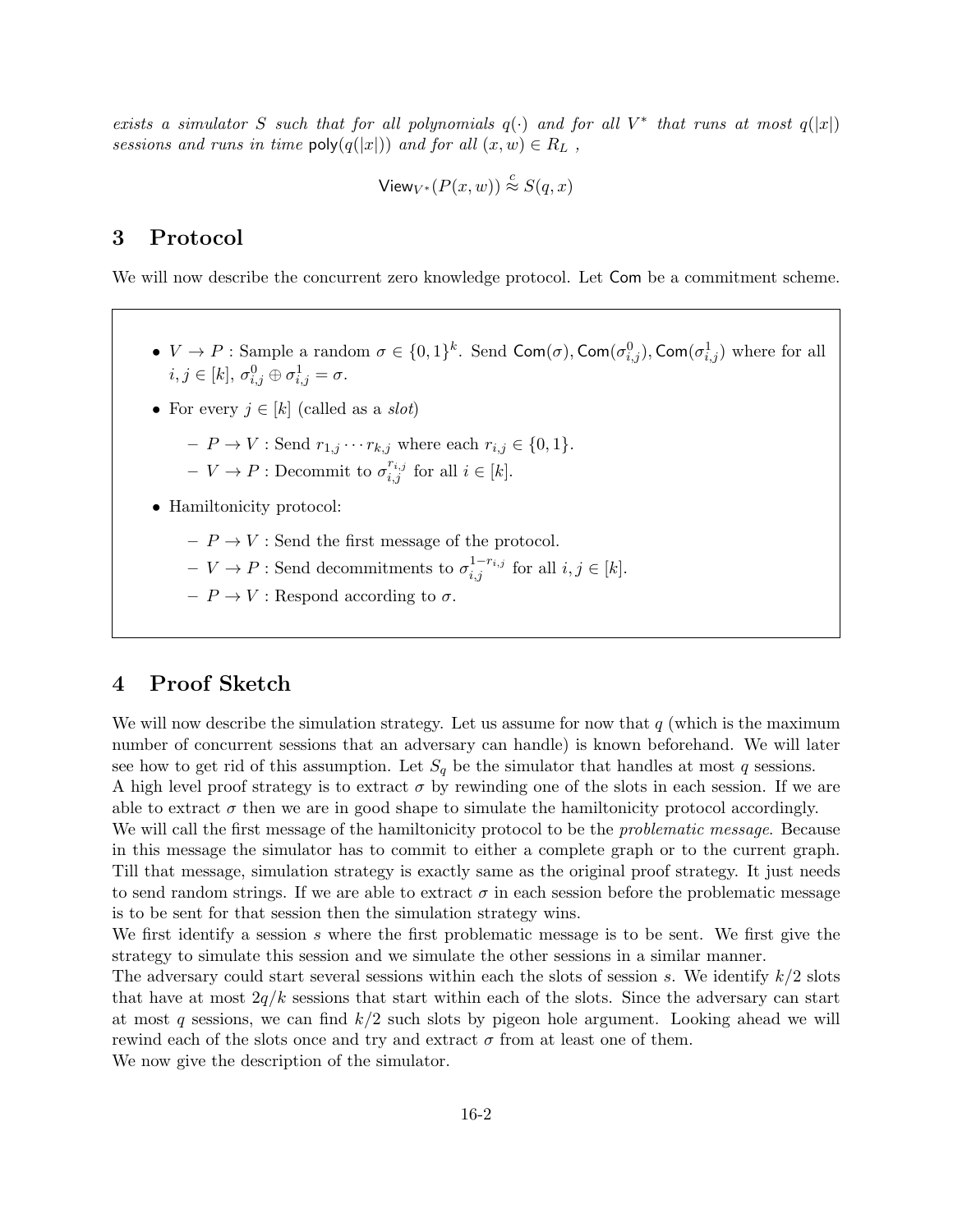exists a simulator S such that for all polynomials  $q(\cdot)$  and for all  $V^*$  that runs at most  $q(|x|)$ sessions and runs in time  $\text{poly}(q(|x|))$  and for all  $(x, w) \in R_L$ ,

$$
\mathsf{View}_{V^*}(P(x,w)) \stackrel{c}{\approx} S(q,x)
$$

## 3 Protocol

We will now describe the concurrent zero knowledge protocol. Let Com be a commitment scheme.

- $V \to P$ : Sample a random  $\sigma \in \{0,1\}^k$ . Send Com $(\sigma)$ , Com $(\sigma^0_{i,j})$ , Com $(\sigma^1_{i,j})$  where for all  $i, j \in [k], \sigma_{i,j}^0 \oplus \sigma_{i,j}^1 = \sigma.$
- For every  $j \in [k]$  (called as a *slot*)
	- $-P \to V$ : Send  $r_{1,j} \cdots r_{k,j}$  where each  $r_{i,j} \in \{0,1\}.$
	- $V \to P :$  Decommit to  $\sigma_{i,j}^{r_{i,j}}$  for all  $i \in [k]$ .
- Hamiltonicity protocol:
	- $P \rightarrow V$  : Send the first message of the protocol.
	- $V \to P$ : Send decommitments to  $\sigma_{i,j}^{1-r_{i,j}}$  for all  $i, j \in [k]$ .
	- $-P \to V$ : Respond according to  $\sigma$ .

## 4 Proof Sketch

We will now describe the simulation strategy. Let us assume for now that  $q$  (which is the maximum number of concurrent sessions that an adversary can handle) is known beforehand. We will later see how to get rid of this assumption. Let  $S_q$  be the simulator that handles at most q sessions. A high level proof strategy is to extract  $\sigma$  by rewinding one of the slots in each session. If we are able to extract  $\sigma$  then we are in good shape to simulate the hamiltonicity protocol accordingly.

We will call the first message of the hamiltonicity protocol to be the *problematic message*. Because in this message the simulator has to commit to either a complete graph or to the current graph. Till that message, simulation strategy is exactly same as the original proof strategy. It just needs to send random strings. If we are able to extract  $\sigma$  in each session before the problematic message is to be sent for that session then the simulation strategy wins.

We first identify a session s where the first problematic message is to be sent. We first give the strategy to simulate this session and we simulate the other sessions in a similar manner.

The adversary could start several sessions within each the slots of session s. We identify  $k/2$  slots that have at most  $2q/k$  sessions that start within each of the slots. Since the adversary can start at most q sessions, we can find  $k/2$  such slots by pigeon hole argument. Looking ahead we will rewind each of the slots once and try and extract  $\sigma$  from at least one of them.

We now give the description of the simulator.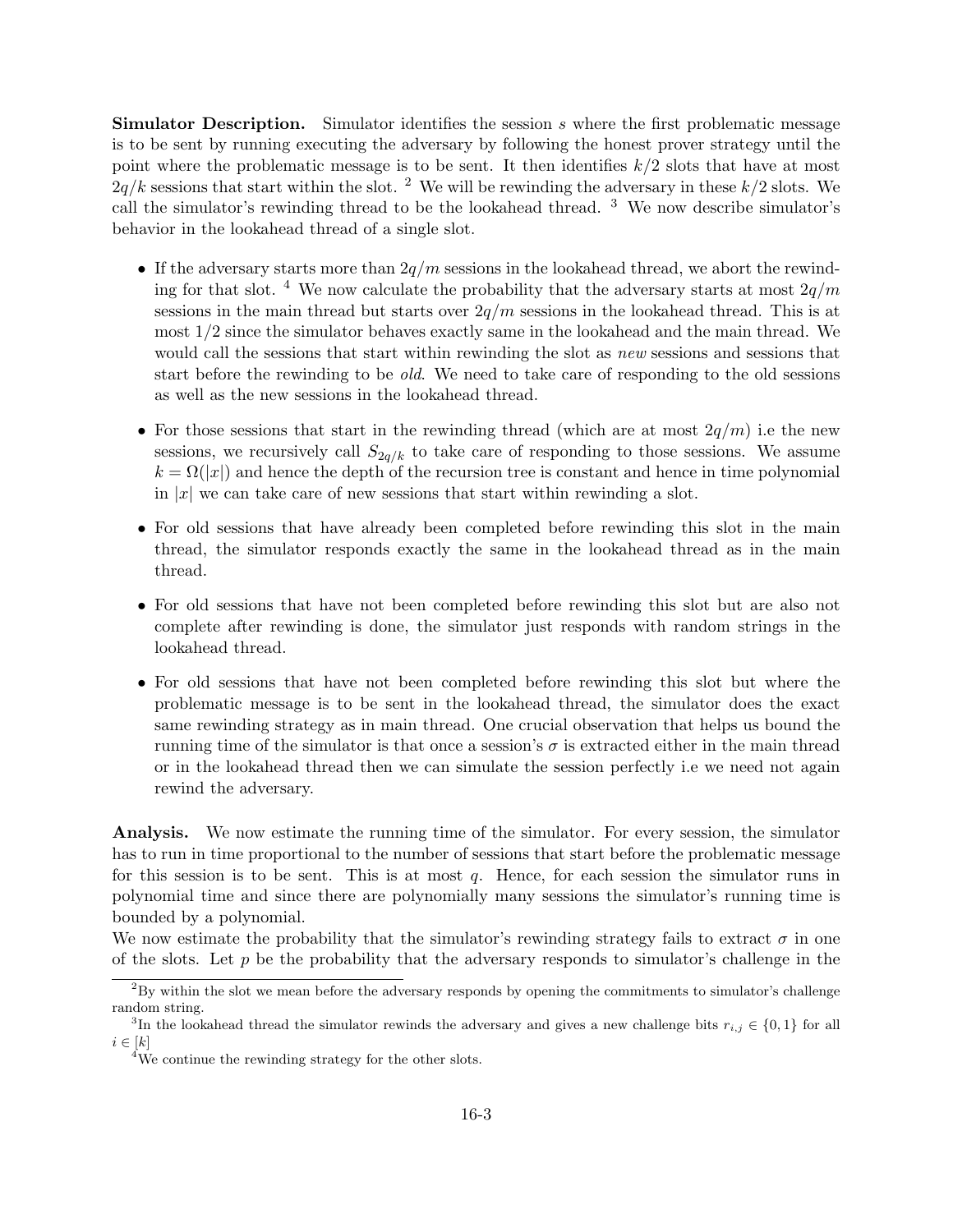**Simulator Description.** Simulator identifies the session s where the first problematic message is to be sent by running executing the adversary by following the honest prover strategy until the point where the problematic message is to be sent. It then identifies  $k/2$  slots that have at most  $2q/k$  sessions that start within the slot. <sup>2</sup> We will be rewinding the adversary in these  $k/2$  slots. We call the simulator's rewinding thread to be the lookahead thread.  $3$  We now describe simulator's behavior in the lookahead thread of a single slot.

- If the adversary starts more than  $2q/m$  sessions in the lookahead thread, we abort the rewinding for that slot. <sup>4</sup> We now calculate the probability that the adversary starts at most  $2q/m$ sessions in the main thread but starts over  $2q/m$  sessions in the lookahead thread. This is at most 1/2 since the simulator behaves exactly same in the lookahead and the main thread. We would call the sessions that start within rewinding the slot as *new* sessions and sessions that start before the rewinding to be old. We need to take care of responding to the old sessions as well as the new sessions in the lookahead thread.
- For those sessions that start in the rewinding thread (which are at most  $2q/m$ ) i.e the new sessions, we recursively call  $S_{2q/k}$  to take care of responding to those sessions. We assume  $k = \Omega(|x|)$  and hence the depth of the recursion tree is constant and hence in time polynomial in |x| we can take care of new sessions that start within rewinding a slot.
- For old sessions that have already been completed before rewinding this slot in the main thread, the simulator responds exactly the same in the lookahead thread as in the main thread.
- For old sessions that have not been completed before rewinding this slot but are also not complete after rewinding is done, the simulator just responds with random strings in the lookahead thread.
- For old sessions that have not been completed before rewinding this slot but where the problematic message is to be sent in the lookahead thread, the simulator does the exact same rewinding strategy as in main thread. One crucial observation that helps us bound the running time of the simulator is that once a session's  $\sigma$  is extracted either in the main thread or in the lookahead thread then we can simulate the session perfectly i.e we need not again rewind the adversary.

Analysis. We now estimate the running time of the simulator. For every session, the simulator has to run in time proportional to the number of sessions that start before the problematic message for this session is to be sent. This is at most  $q$ . Hence, for each session the simulator runs in polynomial time and since there are polynomially many sessions the simulator's running time is bounded by a polynomial.

We now estimate the probability that the simulator's rewinding strategy fails to extract  $\sigma$  in one of the slots. Let  $p$  be the probability that the adversary responds to simulator's challenge in the

<sup>2</sup>By within the slot we mean before the adversary responds by opening the commitments to simulator's challenge random string.

<sup>&</sup>lt;sup>3</sup>In the lookahead thread the simulator rewinds the adversary and gives a new challenge bits  $r_{i,j} \in \{0,1\}$  for all  $i \in [k]$ 

<sup>&</sup>lt;sup>4</sup>We continue the rewinding strategy for the other slots.